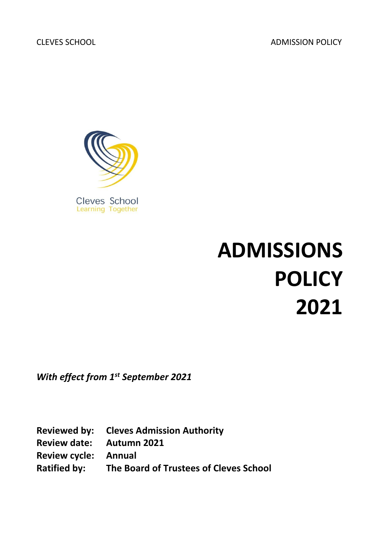CLEVES SCHOOL ADMISSION POLICY



# **ADMISSIONS POLICY 2021**

*With effect from 1st September 2021*

**Reviewed by: Cleves Admission Authority Review date: Autumn 2021 Review cycle: Annual Ratified by: The Board of Trustees of Cleves School**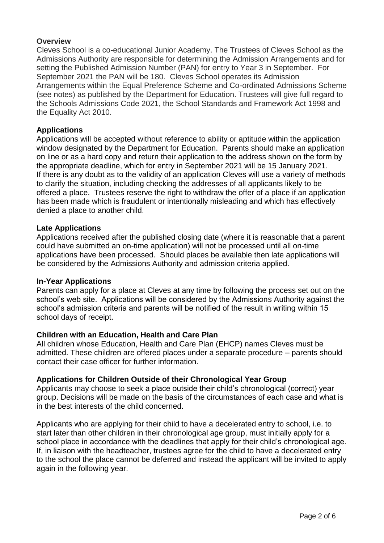# **Overview**

Cleves School is a co-educational Junior Academy. The Trustees of Cleves School as the Admissions Authority are responsible for determining the Admission Arrangements and for setting the Published Admission Number (PAN) for entry to Year 3 in September. For September 2021 the PAN will be 180. Cleves School operates its Admission Arrangements within the Equal Preference Scheme and Co-ordinated Admissions Scheme (see notes) as published by the Department for Education. Trustees will give full regard to the Schools Admissions Code 2021, the School Standards and Framework Act 1998 and the Equality Act 2010.

## **Applications**

Applications will be accepted without reference to ability or aptitude within the application window designated by the Department for Education. Parents should make an application on line or as a hard copy and return their application to the address shown on the form by the appropriate deadline, which for entry in September 2021 will be 15 January 2021. If there is any doubt as to the validity of an application Cleves will use a variety of methods to clarify the situation, including checking the addresses of all applicants likely to be offered a place. Trustees reserve the right to withdraw the offer of a place if an application has been made which is fraudulent or intentionally misleading and which has effectively denied a place to another child.

## **Late Applications**

Applications received after the published closing date (where it is reasonable that a parent could have submitted an on-time application) will not be processed until all on-time applications have been processed. Should places be available then late applications will be considered by the Admissions Authority and admission criteria applied.

#### **In-Year Applications**

Parents can apply for a place at Cleves at any time by following the process set out on the school's web site. Applications will be considered by the Admissions Authority against the school's admission criteria and parents will be notified of the result in writing within 15 school days of receipt.

#### **Children with an Education, Health and Care Plan**

All children whose Education, Health and Care Plan (EHCP) names Cleves must be admitted. These children are offered places under a separate procedure – parents should contact their case officer for further information.

#### **Applications for Children Outside of their Chronological Year Group**

Applicants may choose to seek a place outside their child's chronological (correct) year group. Decisions will be made on the basis of the circumstances of each case and what is in the best interests of the child concerned.

Applicants who are applying for their child to have a decelerated entry to school, i.e. to start later than other children in their chronological age group, must initially apply for a school place in accordance with the deadlines that apply for their child's chronological age. If, in liaison with the headteacher, trustees agree for the child to have a decelerated entry to the school the place cannot be deferred and instead the applicant will be invited to apply again in the following year.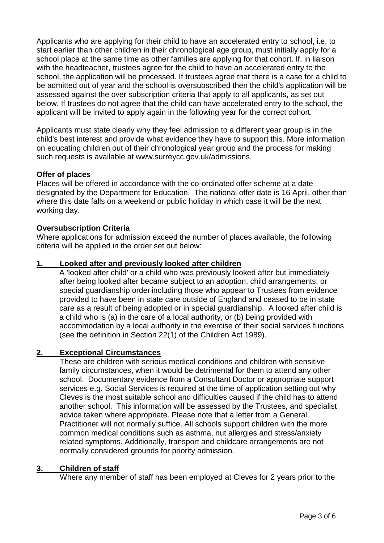Applicants who are applying for their child to have an accelerated entry to school, i.e. to start earlier than other children in their chronological age group, must initially apply for a school place at the same time as other families are applying for that cohort. If, in liaison with the headteacher, trustees agree for the child to have an accelerated entry to the school, the application will be processed. If trustees agree that there is a case for a child to be admitted out of year and the school is oversubscribed then the child's application will be assessed against the over subscription criteria that apply to all applicants, as set out below. If trustees do not agree that the child can have accelerated entry to the school, the applicant will be invited to apply again in the following year for the correct cohort.

Applicants must state clearly why they feel admission to a different year group is in the child's best interest and provide what evidence they have to support this. More information on educating children out of their chronological year group and the process for making such requests is available at www.surreycc.gov.uk/admissions.

# **Offer of places**

Places will be offered in accordance with the co-ordinated offer scheme at a date designated by the Department for Education. The national offer date is 16 April, other than where this date falls on a weekend or public holiday in which case it will be the next working day.

# **Oversubscription Criteria**

Where applications for admission exceed the number of places available, the following criteria will be applied in the order set out below:

# **1. Looked after and previously looked after children**

A 'looked after child' or a child who was previously looked after but immediately after being looked after became subject to an adoption, child arrangements, or special guardianship order including those who appear to Trustees from evidence provided to have been in state care outside of England and ceased to be in state care as a result of being adopted or in special guardianship. A looked after child is a child who is (a) in the care of a local authority, or (b) being provided with accommodation by a local authority in the exercise of their social services functions (see the definition in Section 22(1) of the Children Act 1989).

# **2. Exceptional Circumstances**

These are children with serious medical conditions and children with sensitive family circumstances, when it would be detrimental for them to attend any other school. Documentary evidence from a Consultant Doctor or appropriate support services e.g. Social Services is required at the time of application setting out why Cleves is the most suitable school and difficulties caused if the child has to attend another school. This information will be assessed by the Trustees, and specialist advice taken where appropriate. Please note that a letter from a General Practitioner will not normally suffice. All schools support children with the more common medical conditions such as asthma, nut allergies and stress/anxiety related symptoms. Additionally, transport and childcare arrangements are not normally considered grounds for priority admission.

#### **3. Children of staff**

Where any member of staff has been employed at Cleves for 2 years prior to the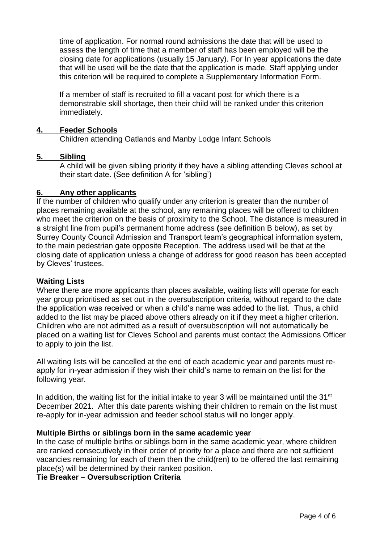time of application. For normal round admissions the date that will be used to assess the length of time that a member of staff has been employed will be the closing date for applications (usually 15 January). For In year applications the date that will be used will be the date that the application is made. Staff applying under this criterion will be required to complete a Supplementary Information Form.

If a member of staff is recruited to fill a vacant post for which there is a demonstrable skill shortage, then their child will be ranked under this criterion immediately.

## **4. Feeder Schools**

Children attending Oatlands and Manby Lodge Infant Schools

## **5. Sibling**

A child will be given sibling priority if they have a sibling attending Cleves school at their start date. (See definition A for 'sibling')

## **6. Any other applicants**

If the number of children who qualify under any criterion is greater than the number of places remaining available at the school, any remaining places will be offered to children who meet the criterion on the basis of proximity to the School. The distance is measured in a straight line from pupil's permanent home address **(**see definition B below), as set by Surrey County Council Admission and Transport team's geographical information system, to the main pedestrian gate opposite Reception. The address used will be that at the closing date of application unless a change of address for good reason has been accepted by Cleves' trustees.

#### **Waiting Lists**

Where there are more applicants than places available, waiting lists will operate for each year group prioritised as set out in the oversubscription criteria, without regard to the date the application was received or when a child's name was added to the list. Thus, a child added to the list may be placed above others already on it if they meet a higher criterion. Children who are not admitted as a result of oversubscription will not automatically be placed on a waiting list for Cleves School and parents must contact the Admissions Officer to apply to join the list.

All waiting lists will be cancelled at the end of each academic year and parents must reapply for in-year admission if they wish their child's name to remain on the list for the following year.

In addition, the waiting list for the initial intake to year 3 will be maintained until the 31<sup>st</sup> December 2021. After this date parents wishing their children to remain on the list must re-apply for in-year admission and feeder school status will no longer apply.

#### **Multiple Births or siblings born in the same academic year**

In the case of multiple births or siblings born in the same academic year, where children are ranked consecutively in their order of priority for a place and there are not sufficient vacancies remaining for each of them then the child(ren) to be offered the last remaining place(s) will be determined by their ranked position.

**Tie Breaker – Oversubscription Criteria**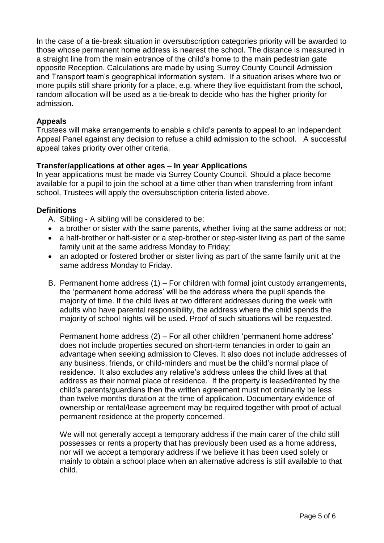In the case of a tie-break situation in oversubscription categories priority will be awarded to those whose permanent home address is nearest the school. The distance is measured in a straight line from the main entrance of the child's home to the main pedestrian gate opposite Reception. Calculations are made by using Surrey County Council Admission and Transport team's geographical information system. If a situation arises where two or more pupils still share priority for a place, e.g. where they live equidistant from the school, random allocation will be used as a tie-break to decide who has the higher priority for admission.

# **Appeals**

Trustees will make arrangements to enable a child's parents to appeal to an Independent Appeal Panel against any decision to refuse a child admission to the school. A successful appeal takes priority over other criteria.

# **Transfer/applications at other ages – In year Applications**

In year applications must be made via Surrey County Council. Should a place become available for a pupil to join the school at a time other than when transferring from infant school, Trustees will apply the oversubscription criteria listed above.

# **Definitions**

- A. Sibling A sibling will be considered to be:
- a brother or sister with the same parents, whether living at the same address or not;
- a half-brother or half-sister or a step-brother or step-sister living as part of the same family unit at the same address Monday to Friday;
- an adopted or fostered brother or sister living as part of the same family unit at the same address Monday to Friday.
- B. Permanent home address (1) For children with formal joint custody arrangements, the 'permanent home address' will be the address where the pupil spends the majority of time. If the child lives at two different addresses during the week with adults who have parental responsibility, the address where the child spends the majority of school nights will be used. Proof of such situations will be requested.

Permanent home address (2) – For all other children 'permanent home address' does not include properties secured on short-term tenancies in order to gain an advantage when seeking admission to Cleves. It also does not include addresses of any business, friends, or child-minders and must be the child's normal place of residence. It also excludes any relative's address unless the child lives at that address as their normal place of residence. If the property is leased/rented by the child's parents/guardians then the written agreement must not ordinarily be less than twelve months duration at the time of application. Documentary evidence of ownership or rental/lease agreement may be required together with proof of actual permanent residence at the property concerned.

We will not generally accept a temporary address if the main carer of the child still possesses or rents a property that has previously been used as a home address, nor will we accept a temporary address if we believe it has been used solely or mainly to obtain a school place when an alternative address is still available to that child.